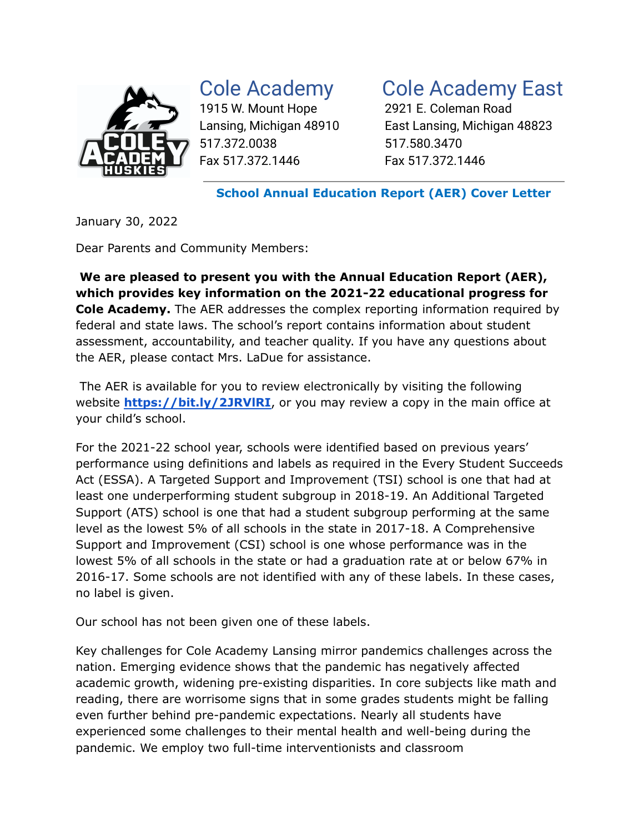

1915 W. Mount Hope 2921 E. Coleman Road 517.372.0038 517.580.3470 Fax 517.372.1446 Fax 517.372.1446

## Cole Academy Cole Academy East

Lansing, Michigan 48910 East Lansing, Michigan 48823

**School Annual Education Report (AER) Cover Letter**

January 30, 2022

Dear Parents and Community Members:

**We are pleased to present you with the Annual Education Report (AER), which provides key information on the 2021-22 educational progress for Cole Academy.** The AER addresses the complex reporting information required by federal and state laws. The school's report contains information about student assessment, accountability, and teacher quality. If you have any questions about the AER, please contact Mrs. LaDue for assistance.

The AER is available for you to review electronically by visiting the following website **https://bit.ly/2JRVIRI**, or you may review a copy in the main office at your child's school.

For the 2021-22 school year, schools were identified based on previous years' performance using definitions and labels as required in the Every Student Succeeds Act (ESSA). A Targeted Support and Improvement (TSI) school is one that had at least one underperforming student subgroup in 2018-19. An Additional Targeted Support (ATS) school is one that had a student subgroup performing at the same level as the lowest 5% of all schools in the state in 2017-18. A Comprehensive Support and Improvement (CSI) school is one whose performance was in the lowest 5% of all schools in the state or had a graduation rate at or below 67% in 2016-17. Some schools are not identified with any of these labels. In these cases, no label is given.

Our school has not been given one of these labels.

Key challenges for Cole Academy Lansing mirror pandemics challenges across the nation. Emerging evidence shows that the pandemic has negatively affected academic growth, widening pre-existing disparities. In core subjects like math and reading, there are worrisome signs that in some grades students might be falling even further behind pre-pandemic expectations. Nearly all students have experienced some challenges to their mental health and well-being during the pandemic. We employ two full-time interventionists and classroom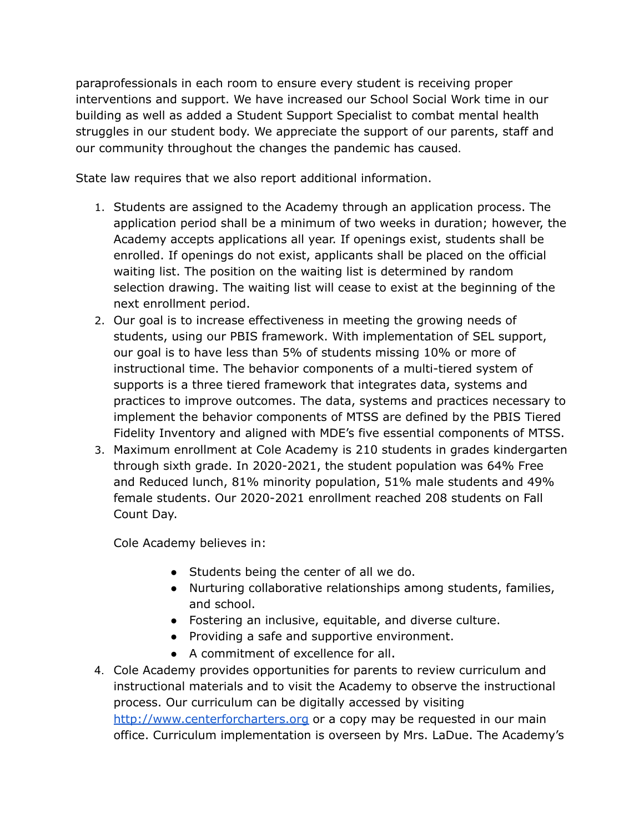paraprofessionals in each room to ensure every student is receiving proper interventions and support. We have increased our School Social Work time in our building as well as added a Student Support Specialist to combat mental health struggles in our student body. We appreciate the support of our parents, staff and our community throughout the changes the pandemic has caused.

State law requires that we also report additional information.

- 1. Students are assigned to the Academy through an application process. The application period shall be a minimum of two weeks in duration; however, the Academy accepts applications all year. If openings exist, students shall be enrolled. If openings do not exist, applicants shall be placed on the official waiting list. The position on the waiting list is determined by random selection drawing. The waiting list will cease to exist at the beginning of the next enrollment period.
- 2. Our goal is to increase effectiveness in meeting the growing needs of students, using our PBIS framework. With implementation of SEL support, our goal is to have less than 5% of students missing 10% or more of instructional time. The behavior components of a multi-tiered system of supports is a three tiered framework that integrates data, systems and practices to improve outcomes. The data, systems and practices necessary to implement the behavior components of MTSS are defined by the PBIS Tiered Fidelity Inventory and aligned with MDE's five essential components of MTSS.
- 3. Maximum enrollment at Cole Academy is 210 students in grades kindergarten through sixth grade. In 2020-2021, the student population was 64% Free and Reduced lunch, 81% minority population, 51% male students and 49% female students. Our 2020-2021 enrollment reached 208 students on Fall Count Day.

Cole Academy believes in:

- Students being the center of all we do.
- Nurturing collaborative relationships among students, families, and school.
- Fostering an inclusive, equitable, and diverse culture.
- Providing a safe and supportive environment.
- A commitment of excellence for all.
- 4. Cole Academy provides opportunities for parents to review curriculum and instructional materials and to visit the Academy to observe the instructional process. Our curriculum can be digitally accessed by visiting [http://www.centerforcharters.org](http://www.centerforcharters.org/) or a copy may be requested in our main office. Curriculum implementation is overseen by Mrs. LaDue. The Academy's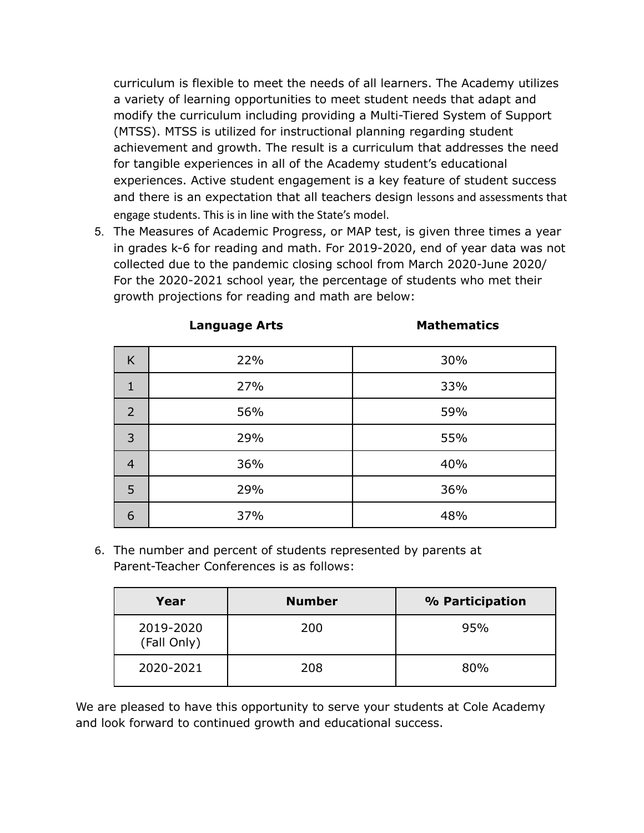curriculum is flexible to meet the needs of all learners. The Academy utilizes a variety of learning opportunities to meet student needs that adapt and modify the curriculum including providing a Multi-Tiered System of Support (MTSS). MTSS is utilized for instructional planning regarding student achievement and growth. The result is a curriculum that addresses the need for tangible experiences in all of the Academy student's educational experiences. Active student engagement is a key feature of student success and there is an expectation that all teachers design lessons and assessments that engage students. This is in line with the State's model.

5. The Measures of Academic Progress, or MAP test, is given three times a year in grades k-6 for reading and math. For 2019-2020, end of year data was not collected due to the pandemic closing school from March 2020-June 2020/ For the 2020-2021 school year, the percentage of students who met their growth projections for reading and math are below:

**Language Arts Mathematics** 

| K              | 22% | 30% |
|----------------|-----|-----|
| 1              | 27% | 33% |
| 2              | 56% | 59% |
| 3              | 29% | 55% |
| $\overline{4}$ | 36% | 40% |
| 5              | 29% | 36% |
| 6              | 37% | 48% |

6. The number and percent of students represented by parents at Parent-Teacher Conferences is as follows:

| Year                     | <b>Number</b> | % Participation |
|--------------------------|---------------|-----------------|
| 2019-2020<br>(Fall Only) | 200           | 95%             |
| 2020-2021                | 208           | 80%             |

We are pleased to have this opportunity to serve your students at Cole Academy and look forward to continued growth and educational success.